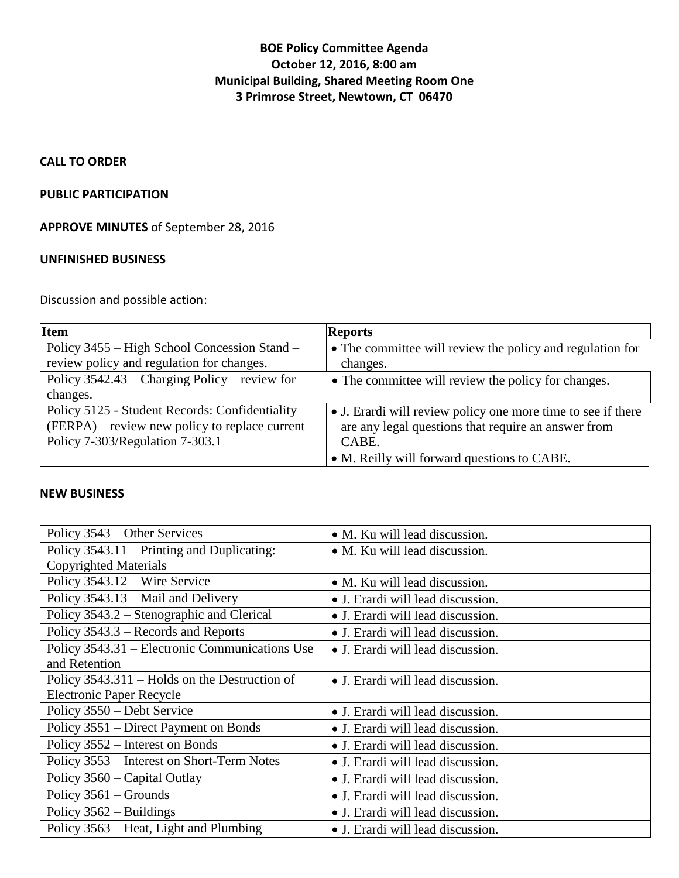# **BOE Policy Committee Agenda October 12, 2016, 8:00 am Municipal Building, Shared Meeting Room One 3 Primrose Street, Newtown, CT 06470**

## **CALL TO ORDER**

#### **PUBLIC PARTICIPATION**

**APPROVE MINUTES** of September 28, 2016

#### **UNFINISHED BUSINESS**

Discussion and possible action:

| <b>Item</b>                                     | <b>Reports</b>                                               |
|-------------------------------------------------|--------------------------------------------------------------|
| Policy 3455 – High School Concession Stand –    | • The committee will review the policy and regulation for    |
| review policy and regulation for changes.       | changes.                                                     |
| Policy $3542.43$ – Charging Policy – review for | • The committee will review the policy for changes.          |
| changes.                                        |                                                              |
| Policy 5125 - Student Records: Confidentiality  | • J. Erardi will review policy one more time to see if there |
| (FERPA) – review new policy to replace current  | are any legal questions that require an answer from          |
| Policy 7-303/Regulation 7-303.1                 | CABE.                                                        |
|                                                 | • M. Reilly will forward questions to CABE.                  |

## **NEW BUSINESS**

| Policy 3543 – Other Services                   | • M. Ku will lead discussion.     |
|------------------------------------------------|-----------------------------------|
| Policy 3543.11 – Printing and Duplicating:     | • M. Ku will lead discussion.     |
| <b>Copyrighted Materials</b>                   |                                   |
| Policy 3543.12 – Wire Service                  | • M. Ku will lead discussion.     |
| Policy 3543.13 – Mail and Delivery             | • J. Erardi will lead discussion. |
| Policy 3543.2 – Stenographic and Clerical      | • J. Erardi will lead discussion. |
| Policy 3543.3 – Records and Reports            | • J. Erardi will lead discussion. |
| Policy 3543.31 – Electronic Communications Use | • J. Erardi will lead discussion. |
| and Retention                                  |                                   |
| Policy 3543.311 – Holds on the Destruction of  | • J. Erardi will lead discussion. |
| <b>Electronic Paper Recycle</b>                |                                   |
| Policy 3550 – Debt Service                     | • J. Erardi will lead discussion. |
| Policy 3551 – Direct Payment on Bonds          | • J. Erardi will lead discussion. |
| Policy 3552 – Interest on Bonds                | • J. Erardi will lead discussion. |
| Policy 3553 – Interest on Short-Term Notes     | • J. Erardi will lead discussion. |
| Policy 3560 – Capital Outlay                   | • J. Erardi will lead discussion. |
| Policy $3561$ – Grounds                        | • J. Erardi will lead discussion. |
| Policy $3562 -$ Buildings                      | • J. Erardi will lead discussion. |
| Policy 3563 – Heat, Light and Plumbing         | • J. Erardi will lead discussion. |